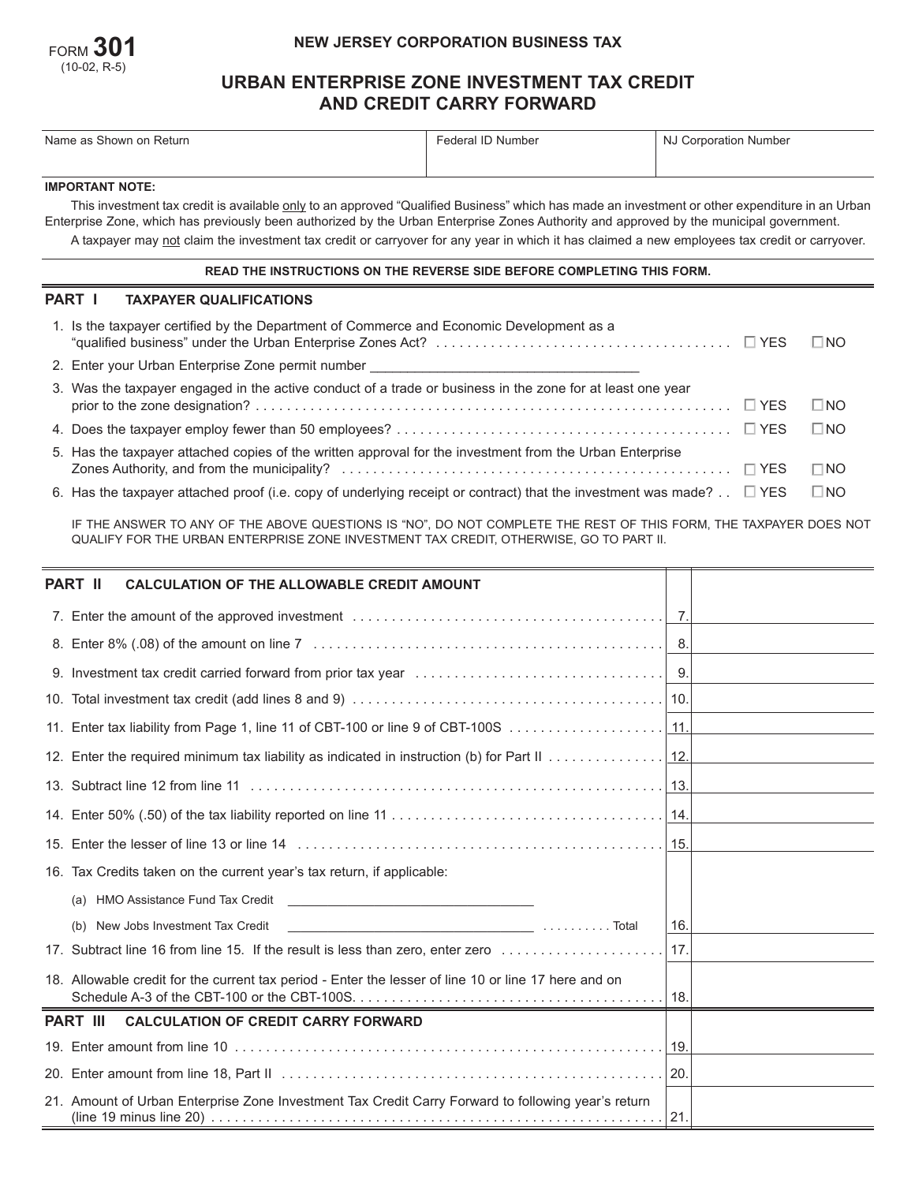

## **NEW JERSEY CORPORATION BUSINESS TAX**

# **URBAN ENTERPRISE ZONE INVESTMENT TAX CREDIT AND CREDIT CARRY FORWARD**

| Name as Shown on Return                                                                                                                                                                                                                                                                   | Federal ID Number | <b>NJ Corporation Number</b> |  |  |  |  |
|-------------------------------------------------------------------------------------------------------------------------------------------------------------------------------------------------------------------------------------------------------------------------------------------|-------------------|------------------------------|--|--|--|--|
|                                                                                                                                                                                                                                                                                           |                   |                              |  |  |  |  |
| <b>IMPORTANT NOTE:</b>                                                                                                                                                                                                                                                                    |                   |                              |  |  |  |  |
| This investment tax credit is available only to an approved "Qualified Business" which has made an investment or other expenditure in an Urban<br>Enterprise Zone, which has previously been authorized by the Urban Enterprise Zones Authority and approved by the municipal government. |                   |                              |  |  |  |  |
| A taxpayer may not claim the investment tax credit or carryover for any year in which it has claimed a new employees tax credit or carryover.                                                                                                                                             |                   |                              |  |  |  |  |
| READ THE INSTRUCTIONS ON THE REVERSE SIDE BEFORE COMPLETING THIS FORM.                                                                                                                                                                                                                    |                   |                              |  |  |  |  |
|                                                                                                                                                                                                                                                                                           |                   |                              |  |  |  |  |

## **PART I TAXPAYER QUALIFICATIONS**

| 1. Is the taxpayer certified by the Department of Commerce and Economic Development as a                                                  | $\square$ NO |
|-------------------------------------------------------------------------------------------------------------------------------------------|--------------|
| 2. Enter your Urban Enterprise Zone permit number ______________________________                                                          |              |
| 3. Was the taxpayer engaged in the active conduct of a trade or business in the zone for at least one year                                | $\square$ No |
|                                                                                                                                           | $\Box$ No    |
| 5. Has the taxpayer attached copies of the written approval for the investment from the Urban Enterprise                                  | $\Box$ NO    |
| 6. Has the taxpayer attached proof (i.e. copy of underlying receipt or contract) that the investment was made? $\therefore$ $\square$ YES | $\square$ NO |

IF THE ANSWER TO ANY OF THE ABOVE QUESTIONS IS "NO", DO NOT COMPLETE THE REST OF THIS FORM, THE TAXPAYER DOES NOT QUALIFY FOR THE URBAN ENTERPRISE ZONE INVESTMENT TAX CREDIT, OTHERWISE, GO TO PART II.

| <b>PART II</b><br><b>CALCULATION OF THE ALLOWABLE CREDIT AMOUNT</b>                                                                                                                                                                                                                                                                 |                 |  |
|-------------------------------------------------------------------------------------------------------------------------------------------------------------------------------------------------------------------------------------------------------------------------------------------------------------------------------------|-----------------|--|
|                                                                                                                                                                                                                                                                                                                                     |                 |  |
|                                                                                                                                                                                                                                                                                                                                     |                 |  |
|                                                                                                                                                                                                                                                                                                                                     |                 |  |
|                                                                                                                                                                                                                                                                                                                                     |                 |  |
|                                                                                                                                                                                                                                                                                                                                     |                 |  |
|                                                                                                                                                                                                                                                                                                                                     |                 |  |
|                                                                                                                                                                                                                                                                                                                                     |                 |  |
|                                                                                                                                                                                                                                                                                                                                     |                 |  |
|                                                                                                                                                                                                                                                                                                                                     |                 |  |
| 16. Tax Credits taken on the current year's tax return, if applicable:                                                                                                                                                                                                                                                              |                 |  |
| (a)                                                                                                                                                                                                                                                                                                                                 |                 |  |
| New Jobs Investment Tax Credit<br>(b)                                                                                                                                                                                                                                                                                               | 16.             |  |
| 17. Subtract line 16 from line 15. If the result is less than zero, enter zero                                                                                                                                                                                                                                                      | 17 <sub>1</sub> |  |
| 18. Allowable credit for the current tax period - Enter the lesser of line 10 or line 17 here and on                                                                                                                                                                                                                                | 18.             |  |
| <b>PART III CALCULATION OF CREDIT CARRY FORWARD</b>                                                                                                                                                                                                                                                                                 |                 |  |
|                                                                                                                                                                                                                                                                                                                                     |                 |  |
|                                                                                                                                                                                                                                                                                                                                     |                 |  |
| 21. Amount of Urban Enterprise Zone Investment Tax Credit Carry Forward to following year's return<br>(line 19 minus line 20) $\ldots$ $\ldots$ $\ldots$ $\ldots$ $\ldots$ $\ldots$ $\ldots$ $\ldots$ $\ldots$ $\ldots$ $\ldots$ $\ldots$ $\ldots$ $\ldots$ $\ldots$ $\ldots$ $\ldots$ $\ldots$ $\ldots$ $\ldots$ $\ldots$ $\ldots$ |                 |  |